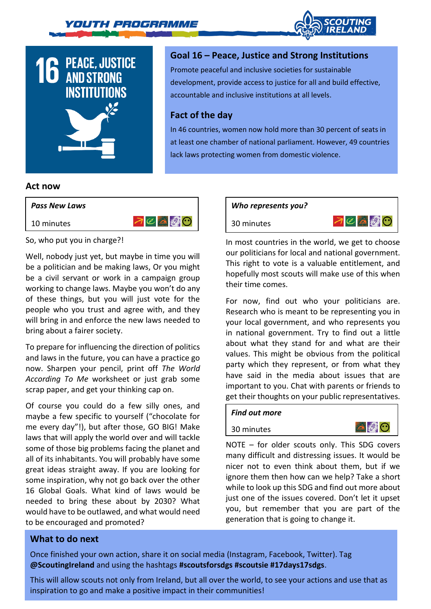



# **Goal 16 – Peace, Justice and Strong Institutions**

Promote peaceful and inclusive societies for sustainable development, provide access to justice for all and build effective, accountable and inclusive institutions at all levels.

# **Fact of the day**

In 46 countries, women now hold more than 30 percent of seats in at least one chamber of national parliament. However, 49 countries lack laws protecting women from domestic violence.

## **Act now**



So, who put you in charge?!

Well, nobody just yet, but maybe in time you will be a politician and be making laws, Or you might be a civil servant or work in a campaign group working to change laws. Maybe you won't do any of these things, but you will just vote for the people who you trust and agree with, and they will bring in and enforce the new laws needed to bring about a fairer society.

To prepare for influencing the direction of politics and laws in the future, you can have a practice go now. Sharpen your pencil, print off *The World According To Me* worksheet or just grab some scrap paper, and get your thinking cap on.

Of course you could do a few silly ones, and maybe a few specific to yourself ("chocolate for me every day"!), but after those, GO BIG! Make laws that will apply the world over and will tackle some of those big problems facing the planet and all of its inhabitants. You will probably have some great ideas straight away. If you are looking for some inspiration, why not go back over the other 16 Global Goals. What kind of laws would be needed to bring these about by 2030? What would have to be outlawed, and what would need to be encouraged and promoted?

#### *Who represents you?*

30 minutes



In most countries in the world, we get to choose our politicians for local and national government. This right to vote is a valuable entitlement, and hopefully most scouts will make use of this when their time comes.

For now, find out who your politicians are. Research who is meant to be representing you in your local government, and who represents you in national government. Try to find out a little about what they stand for and what are their values. This might be obvious from the political party which they represent, or from what they have said in the media about issues that are important to you. Chat with parents or friends to get their thoughts on your public representatives.

# *Find out more*

### 30 minutes



NOTE – for older scouts only. This SDG covers many difficult and distressing issues. It would be nicer not to even think about them, but if we ignore them then how can we help? Take a short while to look up this SDG and find out more about just one of the issues covered. Don't let it upset you, but remember that you are part of the generation that is going to change it.

# **What to do next**

Once finished your own action, share it on social media (Instagram, Facebook, Twitter). Tag **@ScoutingIreland** and using the hashtags **#scoutsforsdgs #scoutsie #17days17sdgs**.

This will allow scouts not only from Ireland, but all over the world, to see your actions and use that as inspiration to go and make a positive impact in their communities!